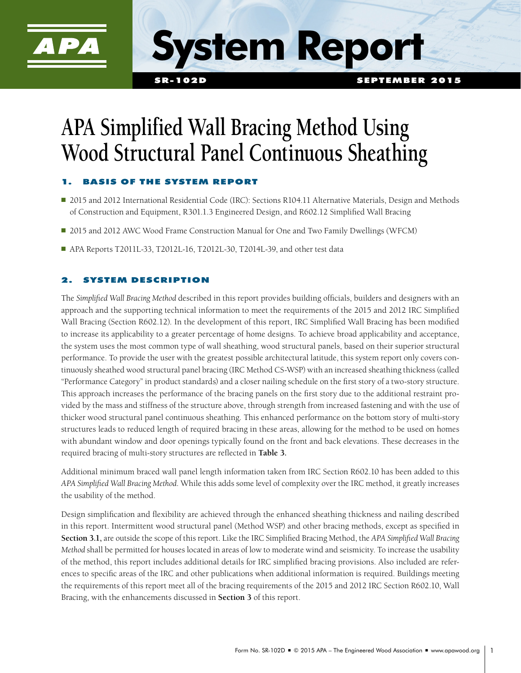

**System Report**

# **APA Simplified Wall Bracing Method Using Wood Structural Panel Continuous Sheathing**

## ASIS OF THE SYSTEM REPORT

- 2015 and 2012 International Residential Code (IRC): Sections R104.11 Alternative Materials, Design and Methods of Construction and Equipment, R301.1.3 Engineered Design, and R602.12 Simplified Wall Bracing
- 2015 and 2012 AWC Wood Frame Construction Manual for One and Two Family Dwellings (WFCM)
- APA Reports T2011L-33, T2012L-16, T2012L-30, T2014L-39, and other test data

## **SYSTEM DESCRIPTION**

The *Simplified Wall Bracing Method* described in this report provides building officials, builders and designers with an approach and the supporting technical information to meet the requirements of the 2015 and 2012 IRC Simplified Wall Bracing (Section R602.12). In the development of this report, IRC Simplified Wall Bracing has been modified to increase its applicability to a greater percentage of home designs. To achieve broad applicability and acceptance, the system uses the most common type of wall sheathing, wood structural panels, based on their superior structural performance. To provide the user with the greatest possible architectural latitude, this system report only covers continuously sheathed wood structural panel bracing (IRC Method CS-WSP) with an increased sheathing thickness (called "Performance Category" in product standards) and a closer nailing schedule on the first story of a two-story structure. This approach increases the performance of the bracing panels on the first story due to the additional restraint provided by the mass and stiffness of the structure above, through strength from increased fastening and with the use of thicker wood structural panel continuous sheathing. This enhanced performance on the bottom story of multi-story structures leads to reduced length of required bracing in these areas, allowing for the method to be used on homes with abundant window and door openings typically found on the front and back elevations. These decreases in the required bracing of multi-story structures are reflected in **Table 3.**

Additional minimum braced wall panel length information taken from IRC Section R602.10 has been added to this *APA Simplified Wall Bracing Method.* While this adds some level of complexity over the IRC method, it greatly increases the usability of the method.

Design simplification and flexibility are achieved through the enhanced sheathing thickness and nailing described in this report. Intermittent wood structural panel (Method WSP) and other bracing methods, except as specified in **Section 3.1,** are outside the scope of this report. Like the IRC Simplified Bracing Method, the *APA Simplified Wall Bracing Method* shall be permitted for houses located in areas of low to moderate wind and seismicity. To increase the usability of the method, this report includes additional details for IRC simplified bracing provisions. Also included are references to specific areas of the IRC and other publications when additional information is required. Buildings meeting the requirements of this report meet all of the bracing requirements of the 2015 and 2012 IRC Section R602.10, Wall Bracing, with the enhancements discussed in **Section 3** of this report.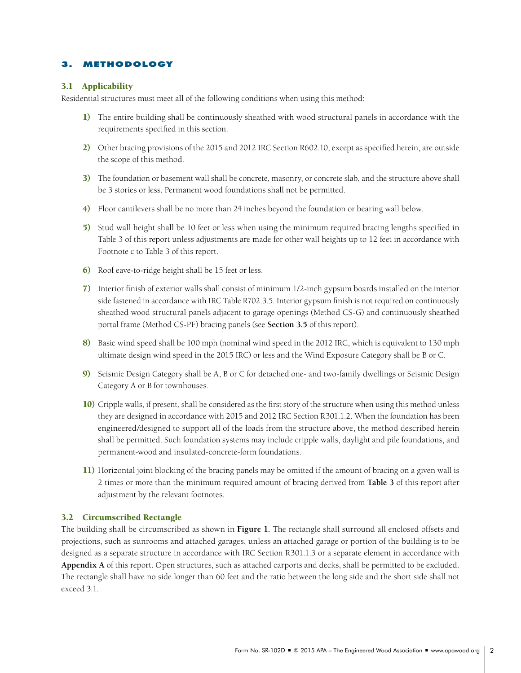## 3. METHODOLOGY

## 3.1 Applicability

Residential structures must meet all of the following conditions when using this method:

- 1) The entire building shall be continuously sheathed with wood structural panels in accordance with the requirements specified in this section.
- 2) Other bracing provisions of the 2015 and 2012 IRC Section R602.10, except as specified herein, are outside the scope of this method.
- 3) The foundation or basement wall shall be concrete, masonry, or concrete slab, and the structure above shall be 3 stories or less. Permanent wood foundations shall not be permitted.
- 4) Floor cantilevers shall be no more than 24 inches beyond the foundation or bearing wall below.
- 5) Stud wall height shall be 10 feet or less when using the minimum required bracing lengths specified in Table 3 of this report unless adjustments are made for other wall heights up to 12 feet in accordance with Footnote c to Table 3 of this report.
- 6) Roof eave-to-ridge height shall be 15 feet or less.
- 7) Interior finish of exterior walls shall consist of minimum 1/2-inch gypsum boards installed on the interior side fastened in accordance with IRC Table R702.3.5. Interior gypsum finish is not required on continuously sheathed wood structural panels adjacent to garage openings (Method CS-G) and continuously sheathed portal frame (Method CS-PF) bracing panels (see **Section 3.5** of this report).
- 8) Basic wind speed shall be 100 mph (nominal wind speed in the 2012 IRC, which is equivalent to 130 mph ultimate design wind speed in the 2015 IRC) or less and the Wind Exposure Category shall be B or C.
- 9) Seismic Design Category shall be A, B or C for detached one- and two-family dwellings or Seismic Design Category A or B for townhouses.
- 10) Cripple walls, if present, shall be considered as the first story of the structure when using this method unless they are designed in accordance with 2015 and 2012 IRC Section R301.1.2. When the foundation has been engineered/designed to support all of the loads from the structure above, the method described herein shall be permitted. Such foundation systems may include cripple walls, daylight and pile foundations, and permanent-wood and insulated-concrete-form foundations.
- 11) Horizontal joint blocking of the bracing panels may be omitted if the amount of bracing on a given wall is 2 times or more than the minimum required amount of bracing derived from **Table 3** of this report after adjustment by the relevant footnotes.

#### 3.2 Circumscribed Rectangle

The building shall be circumscribed as shown in **Figure 1.** The rectangle shall surround all enclosed offsets and projections, such as sunrooms and attached garages, unless an attached garage or portion of the building is to be designed as a separate structure in accordance with IRC Section R301.1.3 or a separate element in accordance with **Appendix A** of this report. Open structures, such as attached carports and decks, shall be permitted to be excluded. The rectangle shall have no side longer than 60 feet and the ratio between the long side and the short side shall not exceed 3:1.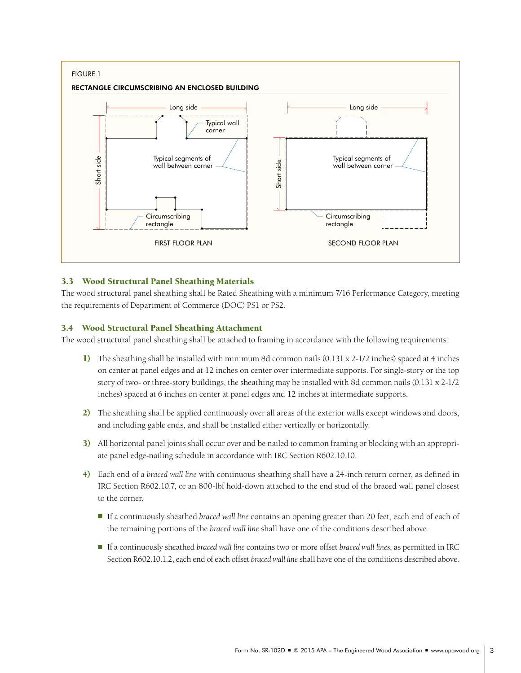

## 3.3 Wood Structural Panel Sheathing Materials

The wood structural panel sheathing shall be Rated Sheathing with a minimum 7/16 Performance Category, meeting the requirements of Department of Commerce (DOC) PS1 or PS2.

## 3.4 Wood Structural Panel Sheathing Attachment

The wood structural panel sheathing shall be attached to framing in accordance with the following requirements:

- 1) The sheathing shall be installed with minimum 8d common nails (0.131 x 2-1/2 inches) spaced at 4 inches on center at panel edges and at 12 inches on center over intermediate supports. For single-story or the top story of two- or three-story buildings, the sheathing may be installed with 8d common nails (0.131 x 2-1/2 inches) spaced at 6 inches on center at panel edges and 12 inches at intermediate supports.
- 2) The sheathing shall be applied continuously over all areas of the exterior walls except windows and doors, and including gable ends, and shall be installed either vertically or horizontally.
- 3) All horizontal panel joints shall occur over and be nailed to common framing or blocking with an appropriate panel edge-nailing schedule in accordance with IRC Section R602.10.10.
- 4) Each end of a *braced wall line* with continuous sheathing shall have a 24-inch return corner, as defined in IRC Section R602.10.7, or an 800-lbf hold-down attached to the end stud of the braced wall panel closest to the corner.
	- **If a continuously sheathed** *braced wall line* contains an opening greater than 20 feet, each end of each of the remaining portions of the *braced wall line* shall have one of the conditions described above.
	- • <sup>n</sup> If a continuously sheathed *braced wall line* contains two or more offset *braced wall lines*, as permitted in IRC Section R602.10.1.2, each end of each offset *braced wall line*shall have one of the conditions described above.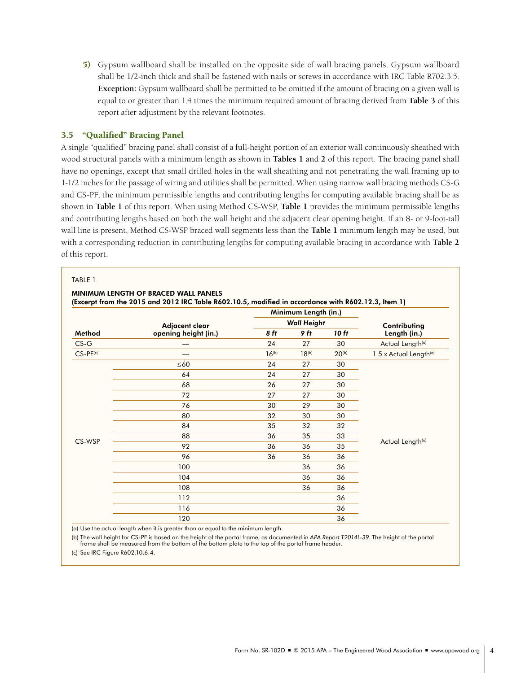5) Gypsum wallboard shall be installed on the opposite side of wall bracing panels. Gypsum wallboard shall be 1/2-inch thick and shall be fastened with nails or screws in accordance with IRC Table R702.3.5. **Exception:** Gypsum wallboard shall be permitted to be omitted if the amount of bracing on a given wall is equal to or greater than 1.4 times the minimum required amount of bracing derived from **Table 3** of this report after adjustment by the relevant footnotes.

## 3.5 "Qualified" Bracing Panel

A single "qualified" bracing panel shall consist of a full-height portion of an exterior wall continuously sheathed with wood structural panels with a minimum length as shown in **Tables 1** and **2** of this report. The bracing panel shall have no openings, except that small drilled holes in the wall sheathing and not penetrating the wall framing up to 1-1/2 inches for the passage of wiring and utilities shall be permitted. When using narrow wall bracing methods CS-G and CS-PF, the minimum permissible lengths and contributing lengths for computing available bracing shall be as shown in **Table 1** of this report. When using Method CS-WSP, **Table 1** provides the minimum permissible lengths and contributing lengths based on both the wall height and the adjacent clear opening height. If an 8- or 9-foot-tall wall line is present, Method CS-WSP braced wall segments less than the **Table 1** minimum length may be used, but with a corresponding reduction in contributing lengths for computing available bracing in accordance with **Table 2**  of this report.

#### TABLE 1

|                  |                                        |            | Minimum Length (in.) |              |                                           |  |  |  |
|------------------|----------------------------------------|------------|----------------------|--------------|-------------------------------------------|--|--|--|
| Method<br>$CS-G$ | Adjacent clear<br>opening height (in.) |            | <b>Wall Height</b>   | Contributing |                                           |  |  |  |
|                  |                                        | 8 ft       | 9 ft                 | 10 ft        | Length (in.)                              |  |  |  |
|                  |                                        | 24         | 27                   | 30           | Actual Length(a)                          |  |  |  |
| $CS-PF(c)$       |                                        | $16^{(b)}$ | $18^{(b)}$           | $20^{(b)}$   | $1.5 \times$ Actual Length <sup>(a)</sup> |  |  |  |
|                  | $\leq 60$                              | 24         | 27                   | 30           |                                           |  |  |  |
|                  | 64                                     | 24         | 27                   | 30           |                                           |  |  |  |
|                  | 68                                     | 26         | 27                   | 30           |                                           |  |  |  |
| CS-WSP           | 72                                     | 27         | 27                   | 30           |                                           |  |  |  |
|                  | 76                                     | 30         | 29                   | 30           |                                           |  |  |  |
|                  | 80                                     | 32         | 30                   | 30           |                                           |  |  |  |
|                  | 84                                     | 35         | 32                   | 32           |                                           |  |  |  |
|                  | 88                                     | 36         | 35                   | 33           |                                           |  |  |  |
|                  | 92                                     | 36         | 36                   | 35           | Actual Length(a)                          |  |  |  |
|                  | 96                                     | 36         | 36                   | 36           |                                           |  |  |  |
|                  | 100                                    |            | 36                   | 36           |                                           |  |  |  |
|                  | 104                                    |            | 36                   | 36           |                                           |  |  |  |
|                  | 108                                    |            | 36                   | 36           |                                           |  |  |  |
|                  | 112                                    |            |                      | 36           |                                           |  |  |  |
|                  | 116                                    |            |                      | 36           |                                           |  |  |  |
|                  | 120                                    |            |                      | 36           |                                           |  |  |  |

(a) Use the actual length when it is greater than or equal to the minimum length.

(b) The wall height for CS-PF is based on the height of the portal frame, as documented in *APA Report T2014L-39.* The height of the portal frame shall be measured from the bottom of the bottom plate to the top of the portal frame header.

(c) See IRC Figure R602.10.6.4.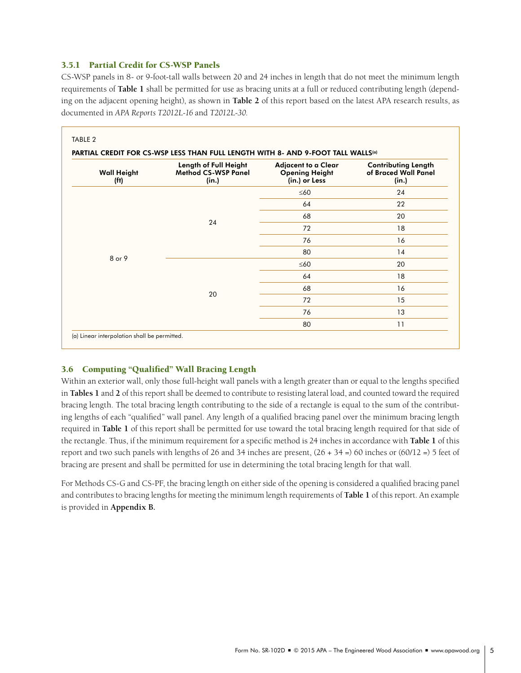## 3.5.1 Partial Credit for CS-WSP Panels

CS-WSP panels in 8- or 9-foot-tall walls between 20 and 24 inches in length that do not meet the minimum length requirements of **Table 1** shall be permitted for use as bracing units at a full or reduced contributing length (depending on the adjacent opening height), as shown in **Table 2** of this report based on the latest APA research results, as documented in *APA Reports T2012L-16* and *T2012L-30.* 

| <b>Wall Height</b><br>(f <sup>t</sup> ) | Length of Full Height<br><b>Method CS-WSP Panel</b><br>(in.) | <b>Adjacent to a Clear</b><br><b>Opening Height</b><br>(in.) or Less | <b>Contributing Length</b><br>of Braced Wall Panel<br>(in.) |  |  |
|-----------------------------------------|--------------------------------------------------------------|----------------------------------------------------------------------|-------------------------------------------------------------|--|--|
|                                         |                                                              | $\leq 60$                                                            | 24                                                          |  |  |
|                                         |                                                              | 64                                                                   | 22                                                          |  |  |
| 8 or 9                                  | 24                                                           | 68                                                                   | 20                                                          |  |  |
|                                         |                                                              | 72                                                                   | 18                                                          |  |  |
|                                         |                                                              | 76                                                                   | 16                                                          |  |  |
|                                         |                                                              | 80                                                                   | 14                                                          |  |  |
|                                         |                                                              | $\leq 60$                                                            | 20                                                          |  |  |
|                                         |                                                              | 64                                                                   | 18                                                          |  |  |
|                                         | 20                                                           | 68                                                                   | 16                                                          |  |  |
|                                         |                                                              | 72                                                                   | 15                                                          |  |  |
|                                         |                                                              | 76                                                                   | 13                                                          |  |  |
|                                         |                                                              | 80                                                                   | 11                                                          |  |  |

## 3.6 Computing "Qualified" Wall Bracing Length

Within an exterior wall, only those full-height wall panels with a length greater than or equal to the lengths specified in **Tables 1** and **2** of this report shall be deemed to contribute to resisting lateral load, and counted toward the required bracing length. The total bracing length contributing to the side of a rectangle is equal to the sum of the contributing lengths of each "qualified" wall panel. Any length of a qualified bracing panel over the minimum bracing length required in **Table 1** of this report shall be permitted for use toward the total bracing length required for that side of the rectangle. Thus, if the minimum requirement for a specific method is 24 inches in accordance with **Table 1** of this report and two such panels with lengths of 26 and 34 inches are present,  $(26 + 34 =) 60$  inches or  $(60/12 =) 5$  feet of bracing are present and shall be permitted for use in determining the total bracing length for that wall.

For Methods CS-G and CS-PF, the bracing length on either side of the opening is considered a qualified bracing panel and contributes to bracing lengths for meeting the minimum length requirements of **Table 1** of this report. An example is provided in **Appendix B.**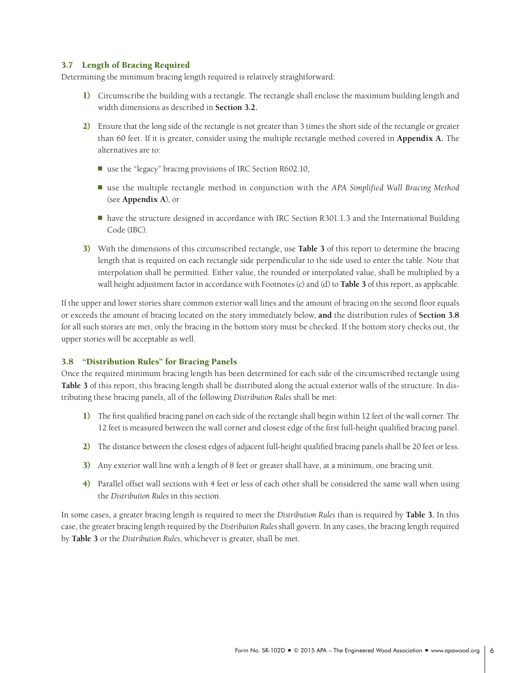## 3.7 Length of Bracing Required

Determining the minimum bracing length required is relatively straightforward:

- 1) Circumscribe the building with a rectangle. The rectangle shall enclose the maximum building length and width dimensions as described in **Section 3.2.**
- 2) Ensure that the long side of the rectangle is not greater than 3 times the short side of the rectangle or greater than 60 feet. If it is greater, consider using the multiple rectangle method covered in **Appendix A.** The alternatives are to:
	- $\blacksquare$  use the "legacy" bracing provisions of IRC Section R602.10,
	- use the multiple rectangle method in conjunction with the *APA Simplified Wall Bracing Method* (see **Appendix A**), or
	- have the structure designed in accordance with IRC Section R301.1.3 and the International Building Code (IBC).
- 3) With the dimensions of this circumscribed rectangle, use **Table 3** of this report to determine the bracing length that is required on each rectangle side perpendicular to the side used to enter the table. Note that interpolation shall be permitted. Either value, the rounded or interpolated value, shall be multiplied by a wall height adjustment factor in accordance with Footnotes (c) and (d) to **Table 3** of this report, as applicable.

If the upper and lower stories share common exterior wall lines and the amount of bracing on the second floor equals or exceeds the amount of bracing located on the story immediately below, **and** the distribution rules of **Section 3.8**  for all such stories are met, only the bracing in the bottom story must be checked. If the bottom story checks out, the upper stories will be acceptable as well.

## 3.8 "Distribution Rules" for Bracing Panels

Once the required minimum bracing length has been determined for each side of the circumscribed rectangle using **Table 3** of this report, this bracing length shall be distributed along the actual exterior walls of the structure. In distributing these bracing panels, all of the following *Distribution Rules* shall be met:

- 1) The first qualified bracing panel on each side of the rectangle shall begin within 12 feet of the wall corner. The 12 feet is measured between the wall corner and closest edge of the first full-height qualified bracing panel.
- 2) The distance between the closest edges of adjacent full-height qualified bracing panels shall be 20 feet or less.
- 3) Any exterior wall line with a length of 8 feet or greater shall have, at a minimum, one bracing unit.
- 4) Parallel offset wall sections with 4 feet or less of each other shall be considered the same wall when using the *Distribution Rules* in this section.

In some cases, a greater bracing length is required to meet the *Distribution Rules* than is required by **Table 3.** In this case, the greater bracing length required by the *Distribution Rules* shall govern. In any cases, the bracing length required by **Table 3** or the *Distribution Rules,* whichever is greater, shall be met.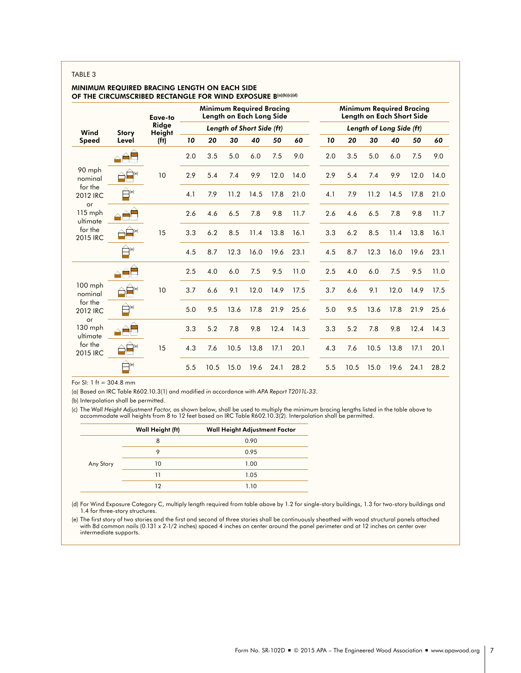#### TABLE 3

## MINIMUM REQUIRED BRACING LENGTH ON EACH SIDE OF THE CIRCUMSCRIBED RECTANGLE FOR WIND EXPOSURE B(a)(b)(c)(d)

|                           | Eave-to                  |                   | Minimum Required Bracing<br>Length on Each Long Side |      |      |      | Minimum Required Bracing<br>Length on Each Short Side |      |     |      |      |      |      |      |
|---------------------------|--------------------------|-------------------|------------------------------------------------------|------|------|------|-------------------------------------------------------|------|-----|------|------|------|------|------|
| Wind                      | <b>Story</b>             | Ridge<br>Height   | Length of Short Side (ft)                            |      |      |      | Length of Long Side (ft)                              |      |     |      |      |      |      |      |
| Speed                     | Level                    | (f <sup>t</sup> ) | 10                                                   | 20   | 30   | 40   | 50                                                    | 60   | 10  | 20   | 30   | 40   | 50   | 60   |
|                           |                          |                   | 2.0                                                  | 3.5  | 5.0  | 6.0  | 7.5                                                   | 9.0  | 2.0 | 3.5  | 5.0  | 6.0  | 7.5  | 9.0  |
| 90 mph<br>nominal         | (e)                      | 10                | 2.9                                                  | 5.4  | 7.4  | 9.9  | 12.0                                                  | 14.0 | 2.9 | 5.4  | 7.4  | 9.9  | 12.0 | 14.0 |
| for the<br>2012 IRC<br>or | (e)                      |                   | 4.1                                                  | 7.9  | 11.2 | 14.5 | 17.8                                                  | 21.0 | 4.1 | 7.9  | 11.2 | 14.5 | 17.8 | 21.0 |
| $115$ mph<br>ultimate     |                          |                   | 2.6                                                  | 4.6  | 6.5  | 7.8  | 9.8                                                   | 11.7 | 2.6 | 4.6  | 6.5  | 7.8  | 9.8  | 11.7 |
| for the<br>2015 IRC       | e                        | 15                | 3.3                                                  | 6.2  | 8.5  | 11.4 | 13.8                                                  | 16.1 | 3.3 | 6.2  | 8.5  | 11.4 | 13.8 | 16.1 |
|                           | $\bigoplus_{(e)}$        |                   | 4.5                                                  | 8.7  | 12.3 | 16.0 | 19.6                                                  | 23.1 | 4.5 | 8.7  | 12.3 | 16.0 | 19.6 | 23.1 |
|                           |                          |                   | 2.5                                                  | 4.0  | 6.0  | 7.5  | 9.5                                                   | 11.0 | 2.5 | 4.0  | 6.0  | 7.5  | 9.5  | 11.0 |
| $100$ mph<br>nominal      | (e)                      | 10                | 3.7                                                  | 6.6  | 9.1  | 12.0 | 14.9                                                  | 17.5 | 3.7 | 6.6  | 9.1  | 12.0 | 14.9 | 17.5 |
| for the<br>2012 IRC<br>or | $\bigoplus$ (e)          |                   | 5.0                                                  | 9.5  | 13.6 | 17.8 | 21.9                                                  | 25.6 | 5.0 | 9.5  | 13.6 | 17.8 | 21.9 | 25.6 |
| 130 mph<br>ultimate       |                          |                   | 3.3                                                  | 5.2  | 7.8  | 9.8  | 12.4                                                  | 14.3 | 3.3 | 5.2  | 7.8  | 9.8  | 12.4 | 14.3 |
| for the<br>2015 IRC       | $\mathbf{l}(\mathbf{e})$ | 15                | 4.3                                                  | 7.6  | 10.5 | 13.8 | 17.1                                                  | 20.1 | 4.3 | 7.6  | 10.5 | 13.8 | 17.1 | 20.1 |
|                           | $\bigoplus_{(e)}$        |                   | 5.5                                                  | 10.5 | 15.0 | 19.6 | 24.1                                                  | 28.2 | 5.5 | 10.5 | 15.0 | 19.6 | 24.1 | 28.2 |

For SI: 1 ft = 304.8 mm

(a) Based on IRC Table R602.10.3(1) and modified in accordance with *APA Report T2011L-33.*

(b) Interpolation shall be permitted.

c) The Wall Height Adjustment Factor, as shown below, shall be used to multiply the minimum bracing lengths listed in the table above to<br>accommodate wall heights from 8 to 12 feet based on IRC Table R602.10.3(2). Interpola

|           | Wall Height (ft) | Wall Height Adjustment Factor |
|-----------|------------------|-------------------------------|
|           | 8                | 0.90                          |
|           | 9                | 0.95                          |
| Any Story | 10               | 1.00                          |
|           | 11               | 1.05                          |
|           | 12               | 1.10                          |

(d) For Wind Exposure Category C, multiply length required from table above by 1.2 for single-story buildings, 1.3 for two-story buildings and 1.4 for three-story structures.

(e) The first story of two stories and the first and second of three stories shall be continuously sheathed with wood structural panels attached<br>with 8d common nails (0.131 x 2-1/2 inches) spaced 4 inches on center around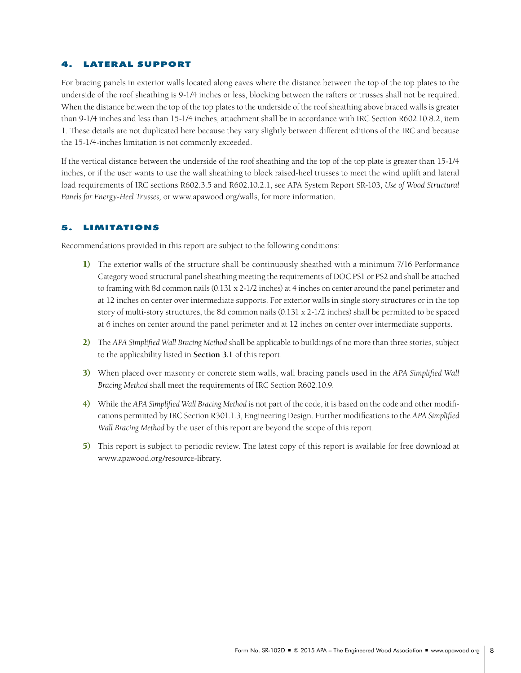## LATERAL SUPPORT

For bracing panels in exterior walls located along eaves where the distance between the top of the top plates to the underside of the roof sheathing is 9-1/4 inches or less, blocking between the rafters or trusses shall not be required. When the distance between the top of the top plates to the underside of the roof sheathing above braced walls is greater than 9-1/4 inches and less than 15-1/4 inches, attachment shall be in accordance with IRC Section R602.10.8.2, item 1. These details are not duplicated here because they vary slightly between different editions of the IRC and because the 15-1/4-inches limitation is not commonly exceeded.

If the vertical distance between the underside of the roof sheathing and the top of the top plate is greater than 15-1/4 inches, or if the user wants to use the wall sheathing to block raised-heel trusses to meet the wind uplift and lateral load requirements of IRC sections R602.3.5 and R602.10.2.1, see APA System Report SR-103, *Use of Wood Structural Panels for Energy-Heel Trusses,* or www.apawood.org/walls, for more information.

## 5. LIMITATIONS

Recommendations provided in this report are subject to the following conditions:

- 1) The exterior walls of the structure shall be continuously sheathed with a minimum 7/16 Performance Category wood structural panel sheathing meeting the requirements of DOC PS1 or PS2 and shall be attached to framing with 8d common nails (0.131 x 2-1/2 inches) at 4 inches on center around the panel perimeter and at 12 inches on center over intermediate supports. For exterior walls in single story structures or in the top story of multi-story structures, the 8d common nails (0.131 x 2-1/2 inches) shall be permitted to be spaced at 6 inches on center around the panel perimeter and at 12 inches on center over intermediate supports.
- 2) The *APA Simplified Wall Bracing Method* shall be applicable to buildings of no more than three stories, subject to the applicability listed in **Section 3.1** of this report.
- 3) When placed over masonry or concrete stem walls, wall bracing panels used in the *APA Simplified Wall Bracing Method* shall meet the requirements of IRC Section R602.10.9.
- 4) While the *APA Simplified Wall Bracing Method* is not part of the code, it is based on the code and other modifications permitted by IRC Section R301.1.3, Engineering Design. Further modifications to the *APA Simplified Wall Bracing Method* by the user of this report are beyond the scope of this report.
- 5) This report is subject to periodic review. The latest copy of this report is available for free download at [www.apawood.org/](http://www.apawood.org/publications)resource-library.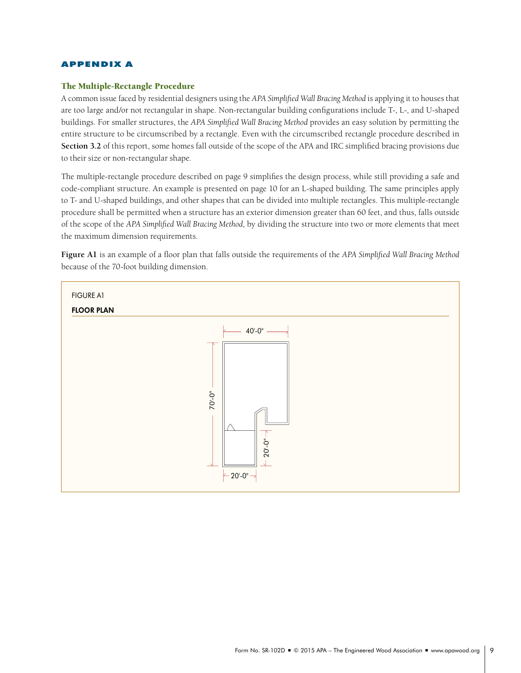## APPENDIX A

## The Multiple-Rectangle Procedure

A common issue faced by residential designers using the *APA Simplified Wall Bracing Method* is applying it to houses that are too large and/or not rectangular in shape. Non-rectangular building configurations include T-, L-, and U-shaped buildings. For smaller structures, the *APA Simplified Wall Bracing Method* provides an easy solution by permitting the entire structure to be circumscribed by a rectangle. Even with the circumscribed rectangle procedure described in **Section 3.2** of this report, some homes fall outside of the scope of the APA and IRC simplified bracing provisions due to their size or non-rectangular shape.

The multiple-rectangle procedure described on page 9 simplifies the design process, while still providing a safe and code-compliant structure. An example is presented on page 10 for an L-shaped building. The same principles apply to T- and U-shaped buildings, and other shapes that can be divided into multiple rectangles. This multiple-rectangle procedure shall be permitted when a structure has an exterior dimension greater than 60 feet, and thus, falls outside of the scope of the *APA Simplified Wall Bracing Method,* by dividing the structure into two or more elements that meet the maximum dimension requirements.

**Figure A1** is an example of a floor plan that falls outside the requirements of the *APA Simplified Wall Bracing Method*  because of the 70-foot building dimension.

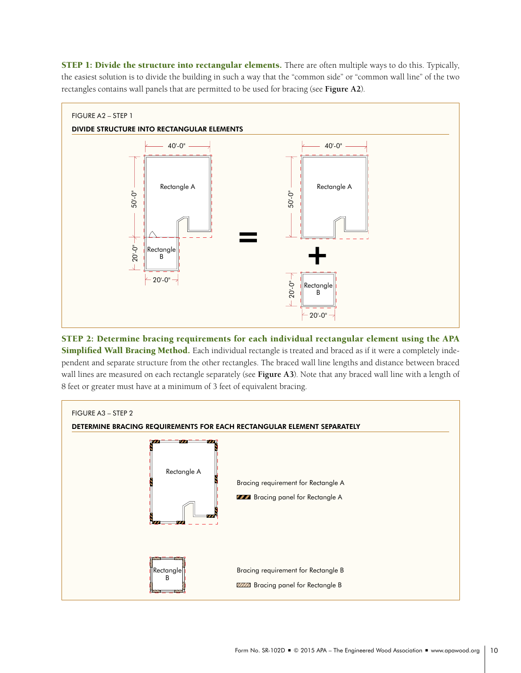STEP 1: Divide the structure into rectangular elements. There are often multiple ways to do this. Typically, the easiest solution is to divide the building in such a way that the "common side" or "common wall line" of the two rectangles contains wall panels that are permitted to be used for bracing (see **Figure A2**).



STEP 2: Determine bracing requirements for each individual rectangular element using the APA Simplified Wall Bracing Method. Each individual rectangle is treated and braced as if it were a completely independent and separate structure from the other rectangles. The braced wall line lengths and distance between braced wall lines are measured on each rectangle separately (see **Figure A3**). Note that any braced wall line with a length of 8 feet or greater must have at a minimum of 3 feet of equivalent bracing.

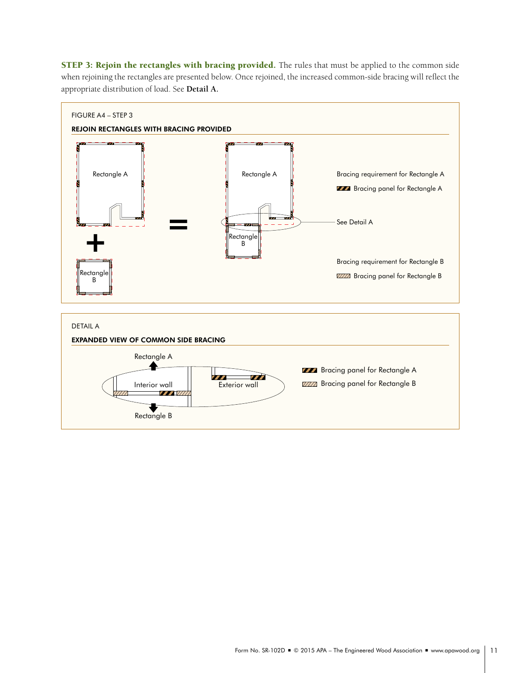STEP 3: Rejoin the rectangles with bracing provided. The rules that must be applied to the common side when rejoining the rectangles are presented below. Once rejoined, the increased common-side bracing will reflect the appropriate distribution of load. See **Detail A.**

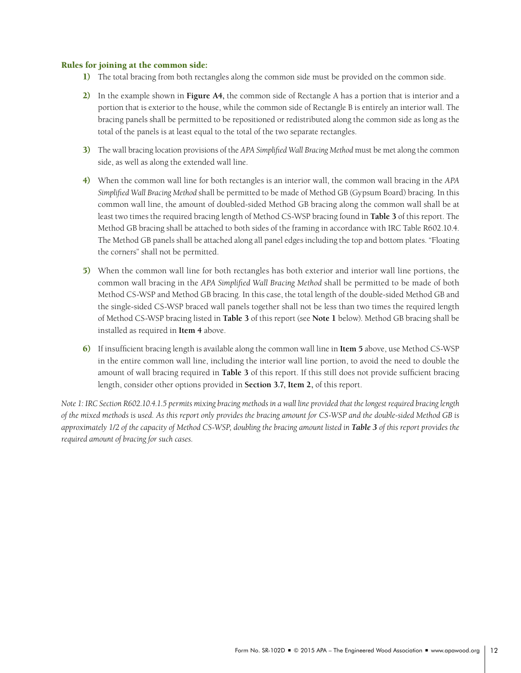## Rules for joining at the common side:

- 1) The total bracing from both rectangles along the common side must be provided on the common side.
- 2) In the example shown in **Figure A4,** the common side of Rectangle A has a portion that is interior and a portion that is exterior to the house, while the common side of Rectangle B is entirely an interior wall. The bracing panels shall be permitted to be repositioned or redistributed along the common side as long as the total of the panels is at least equal to the total of the two separate rectangles.
- 3) The wall bracing location provisions of the *APA Simplified Wall Bracing Method* must be met along the common side, as well as along the extended wall line.
- 4) When the common wall line for both rectangles is an interior wall, the common wall bracing in the *APA Simplified Wall Bracing Method* shall be permitted to be made of Method GB (Gypsum Board) bracing. In this common wall line, the amount of doubled-sided Method GB bracing along the common wall shall be at least two times the required bracing length of Method CS-WSP bracing found in **Table 3** of this report. The Method GB bracing shall be attached to both sides of the framing in accordance with IRC Table R602.10.4. The Method GB panels shall be attached along all panel edges including the top and bottom plates. "Floating the corners" shall not be permitted.
- 5) When the common wall line for both rectangles has both exterior and interior wall line portions, the common wall bracing in the *APA Simplified Wall Bracing Method* shall be permitted to be made of both Method CS-WSP and Method GB bracing. In this case, the total length of the double-sided Method GB and the single-sided CS-WSP braced wall panels together shall not be less than two times the required length of Method CS-WSP bracing listed in **Table 3** of this report (see **Note 1** below). Method GB bracing shall be installed as required in **Item 4** above.
- 6) If insufficient bracing length is available along the common wall line in **Item 5** above, use Method CS-WSP in the entire common wall line, including the interior wall line portion, to avoid the need to double the amount of wall bracing required in **Table 3** of this report. If this still does not provide sufficient bracing length, consider other options provided in **Section 3.7, Item 2,** of this report.

*Note 1: IRC Section R602.10.4.1.5 permits mixing bracing methods in a wall line provided that the longest required bracing length of the mixed methods is used. As this report only provides the bracing amount for CS-WSP and the double-sided Method GB is approximately 1/2 of the capacity of Method CS-WSP, doubling the bracing amount listed in Table 3 of this report provides the required amount of bracing for such cases.*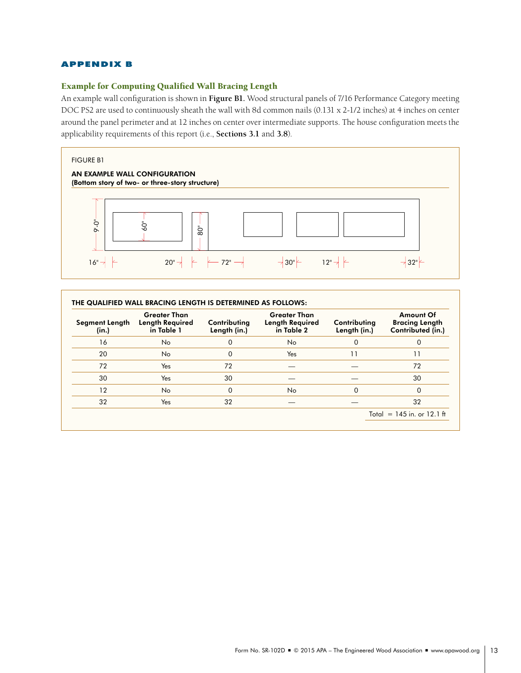## APPENDIX B

## Example for Computing Qualified Wall Bracing Length

An example wall configuration is shown in **Figure B1.** Wood structural panels of 7/16 Performance Category meeting DOC PS2 are used to continuously sheath the wall with 8d common nails (0.131 x 2-1/2 inches) at 4 inches on center around the panel perimeter and at 12 inches on center over intermediate supports. The house configuration meets the applicability requirements of this report (i.e., **Sections 3.1** and **3.8**).



| Segment Length<br>(in.) | <b>Greater Than</b><br><b>Length Required</b><br>in Table 1 | Contributing<br>Length (in.) | <b>Greater Than</b><br><b>Length Required</b><br>in Table 2 | Contributing<br>Length (in.) | <b>Amount Of</b><br><b>Bracing Length</b><br>Contributed (in.) |
|-------------------------|-------------------------------------------------------------|------------------------------|-------------------------------------------------------------|------------------------------|----------------------------------------------------------------|
| 16                      | No.                                                         | 0                            | No.                                                         | 0                            | 0                                                              |
| 20                      | No.                                                         | $\Omega$                     | Yes                                                         | 11                           | 11                                                             |
| 72                      | Yes                                                         | 72                           |                                                             |                              | 72                                                             |
| 30                      | Yes                                                         | 30                           |                                                             |                              | 30                                                             |
| 12                      | No.                                                         | 0                            | No                                                          | 0                            | 0                                                              |
| 32                      | Yes                                                         | 32                           |                                                             |                              | 32                                                             |
|                         |                                                             |                              |                                                             |                              | Total = $145$ in. or 12.1 ft                                   |